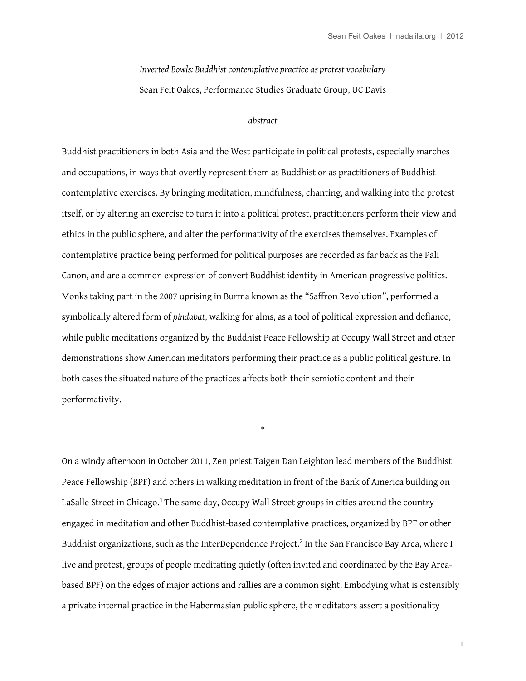*Inverted Bowls: Buddhist contemplative practice as protest vocabulary* Sean Feit Oakes, Performance Studies Graduate Group, UC Davis

## *abstract*

Buddhist practitioners in both Asia and the West participate in political protests, especially marches and occupations, in ways that overtly represent them as Buddhist or as practitioners of Buddhist contemplative exercises. By bringing meditation, mindfulness, chanting, and walking into the protest itself, or by altering an exercise to turn it into a political protest, practitioners perform their view and ethics in the public sphere, and alter the performativity of the exercises themselves. Examples of contemplative practice being performed for political purposes are recorded as far back as the Pāli Canon, and are a common expression of convert Buddhist identity in American progressive politics. Monks taking part in the 2007 uprising in Burma known as the "Safron Revolution", performed a symbolically altered form of *pindabat*, walking for alms, as a tool of political expression and defance, while public meditations organized by the Buddhist Peace Fellowship at Occupy Wall Street and other demonstrations show American meditators performing their practice as a public political gesture. In both cases the situated nature of the practices affects both their semiotic content and their performativity.

On a windy afternoon in October 2011, Zen priest Taigen Dan Leighton lead members of the Buddhist Peace Fellowship (BPF) and others in walking meditation in front of the Bank of America building on LaSalle Street in Chicago. $1$  The same day, Occupy Wall Street groups in cities around the country engaged in meditation and other Buddhist-based contemplative practices, organized by BPF or other Buddhist organizations, such as the InterDependence Project.<sup>[2](#page-16-1)</sup> In the San Francisco Bay Area, where I live and protest, groups of people meditating quietly (often invited and coordinated by the Bay Areabased BPF) on the edges of major actions and rallies are a common sight. Embodying what is ostensibly a private internal practice in the Habermasian public sphere, the meditators assert a positionality

\*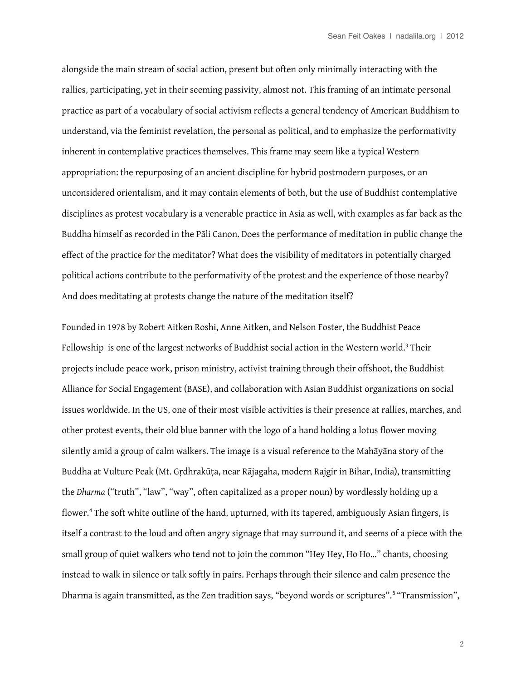alongside the main stream of social action, present but often only minimally interacting with the rallies, participating, yet in their seeming passivity, almost not. This framing of an intimate personal practice as part of a vocabulary of social activism refects a general tendency of American Buddhism to understand, via the feminist revelation, the personal as political, and to emphasize the performativity inherent in contemplative practices themselves. This frame may seem like a typical Western appropriation: the repurposing of an ancient discipline for hybrid postmodern purposes, or an unconsidered orientalism, and it may contain elements of both, but the use of Buddhist contemplative disciplines as protest vocabulary is a venerable practice in Asia as well, with examples as far back as the Buddha himself as recorded in the Pāli Canon. Does the performance of meditation in public change the efect of the practice for the meditator? What does the visibility of meditators in potentially charged political actions contribute to the performativity of the protest and the experience of those nearby? And does meditating at protests change the nature of the meditation itself?

Founded in 1978 by Robert Aitken Roshi, Anne Aitken, and Nelson Foster, the Buddhist Peace Fellowship is one of the largest networks of Buddhist social action in the Western world.<sup>[3](#page-16-2)</sup> Their projects include peace work, prison ministry, activist training through their offshoot, the Buddhist Alliance for Social Engagement (BASE), and collaboration with Asian Buddhist organizations on social issues worldwide. In the US, one of their most visible activities is their presence at rallies, marches, and other protest events, their old blue banner with the logo of a hand holding a lotus flower moving silently amid a group of calm walkers. The image is a visual reference to the Mahāyāna story of the Buddha at Vulture Peak (Mt. Gṛdhrakūṭa, near Rājagaha, modern Rajgir in Bihar, India), transmitting the *Dharma* ("truth", "law", "way", often capitalized as a proper noun) by wordlessly holding up a flower.<sup>[4](#page-16-3)</sup> The soft white outline of the hand, upturned, with its tapered, ambiguously Asian fingers, is itself a contrast to the loud and often angry signage that may surround it, and seems of a piece with the small group of quiet walkers who tend not to join the common "Hey Hey, Ho Ho…" chants, choosing instead to walk in silence or talk softly in pairs. Perhaps through their silence and calm presence the Dharma is again transmitted, as the Zen tradition says, "beyond words or scriptures".<sup>[5](#page-16-4)</sup> "Transmission",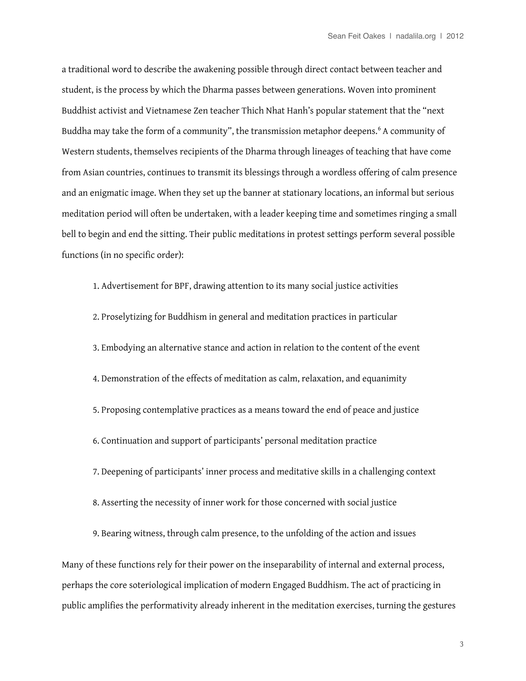a traditional word to describe the awakening possible through direct contact between teacher and student, is the process by which the Dharma passes between generations. Woven into prominent Buddhist activist and Vietnamese Zen teacher Thich Nhat Hanh's popular statement that the "next Buddha may take the form of a community", the transmission metaphor deepens.<sup>[6](#page-16-5)</sup> A community of Western students, themselves recipients of the Dharma through lineages of teaching that have come from Asian countries, continues to transmit its blessings through a wordless ofering of calm presence and an enigmatic image. When they set up the banner at stationary locations, an informal but serious meditation period will often be undertaken, with a leader keeping time and sometimes ringing a small bell to begin and end the sitting. Their public meditations in protest settings perform several possible functions (in no specific order):

1. Advertisement for BPF, drawing attention to its many social justice activities 2. Proselytizing for Buddhism in general and meditation practices in particular 3. Embodying an alternative stance and action in relation to the content of the event 4. Demonstration of the efects of meditation as calm, relaxation, and equanimity 5. Proposing contemplative practices as a means toward the end of peace and justice 6. Continuation and support of participants' personal meditation practice 7. Deepening of participants' inner process and meditative skills in a challenging context 8. Asserting the necessity of inner work for those concerned with social justice

9. Bearing witness, through calm presence, to the unfolding of the action and issues

Many of these functions rely for their power on the inseparability of internal and external process, perhaps the core soteriological implication of modern Engaged Buddhism. The act of practicing in public amplifes the performativity already inherent in the meditation exercises, turning the gestures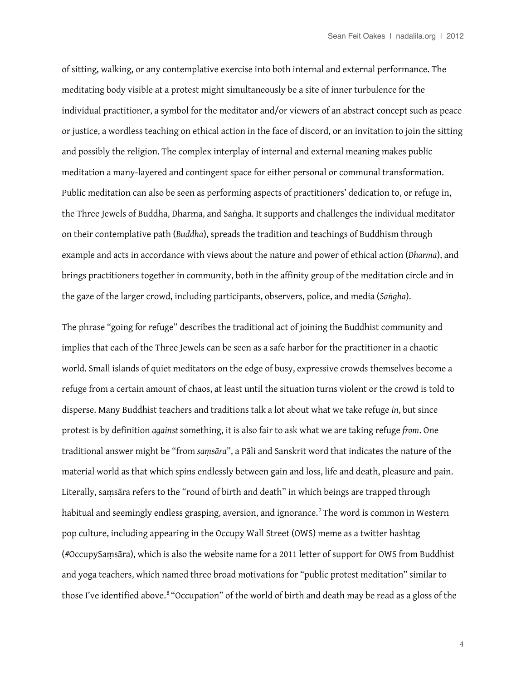of sitting, walking, or any contemplative exercise into both internal and external performance. The meditating body visible at a protest might simultaneously be a site of inner turbulence for the individual practitioner, a symbol for the meditator and/or viewers of an abstract concept such as peace or justice, a wordless teaching on ethical action in the face of discord, or an invitation to join the sitting and possibly the religion. The complex interplay of internal and external meaning makes public meditation a many-layered and contingent space for either personal or communal transformation. Public meditation can also be seen as performing aspects of practitioners' dedication to, or refuge in, the Three Jewels of Buddha, Dharma, and Saṅgha. It supports and challenges the individual meditator on their contemplative path (*Buddha*), spreads the tradition and teachings of Buddhism through example and acts in accordance with views about the nature and power of ethical action (*Dharma*), and brings practitioners together in community, both in the affinity group of the meditation circle and in the gaze of the larger crowd, including participants, observers, police, and media (*Saṅgha*).

The phrase "going for refuge" describes the traditional act of joining the Buddhist community and implies that each of the Three Jewels can be seen as a safe harbor for the practitioner in a chaotic world. Small islands of quiet meditators on the edge of busy, expressive crowds themselves become a refuge from a certain amount of chaos, at least until the situation turns violent or the crowd is told to disperse. Many Buddhist teachers and traditions talk a lot about what we take refuge *in*, but since protest is by defnition *against* something, it is also fair to ask what we are taking refuge *from*. One traditional answer might be "from *saṃsāra*", a Pāli and Sanskrit word that indicates the nature of the material world as that which spins endlessly between gain and loss, life and death, pleasure and pain. Literally, saṃsāra refers to the "round of birth and death" in which beings are trapped through habitual and seemingly endless grasping, aversion, and ignorance.<sup>[7](#page-16-6)</sup> The word is common in Western pop culture, including appearing in the Occupy Wall Street (OWS) meme as a twitter hashtag (#OccupySaṃsāra), which is also the website name for a 2011 letter of support for OWS from Buddhist and yoga teachers, which named three broad motivations for "public protest meditation" similar to those I've identified above.<sup>[8](#page-16-7)</sup> "Occupation" of the world of birth and death may be read as a gloss of the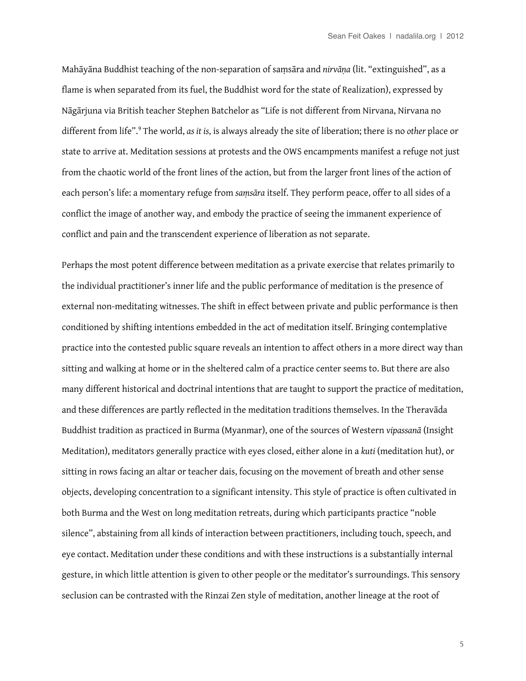Mahāyāna Buddhist teaching of the non-separation of saṃsāra and *nirvāṇa* (lit. "extinguished", as a fame is when separated from its fuel, the Buddhist word for the state of Realization), expressed by Nāgārjuna via British teacher Stephen Batchelor as "Life is not diferent from Nirvana, Nirvana no diferent from life".[9](#page-16-8) The world, *as it is*, is always already the site of liberation; there is no *other* place or state to arrive at. Meditation sessions at protests and the OWS encampments manifest a refuge not just from the chaotic world of the front lines of the action, but from the larger front lines of the action of each person's life: a momentary refuge from *saṃsāra* itself. They perform peace, ofer to all sides of a confict the image of another way, and embody the practice of seeing the immanent experience of confict and pain and the transcendent experience of liberation as not separate.

Perhaps the most potent diference between meditation as a private exercise that relates primarily to the individual practitioner's inner life and the public performance of meditation is the presence of external non-meditating witnesses. The shift in efect between private and public performance is then conditioned by shifting intentions embedded in the act of meditation itself. Bringing contemplative practice into the contested public square reveals an intention to affect others in a more direct way than sitting and walking at home or in the sheltered calm of a practice center seems to. But there are also many diferent historical and doctrinal intentions that are taught to support the practice of meditation, and these differences are partly reflected in the meditation traditions themselves. In the Theravāda Buddhist tradition as practiced in Burma (Myanmar), one of the sources of Western *vipassanā* (Insight Meditation), meditators generally practice with eyes closed, either alone in a *kuti* (meditation hut), or sitting in rows facing an altar or teacher dais, focusing on the movement of breath and other sense objects, developing concentration to a signifcant intensity. This style of practice is often cultivated in both Burma and the West on long meditation retreats, during which participants practice "noble silence", abstaining from all kinds of interaction between practitioners, including touch, speech, and eye contact. Meditation under these conditions and with these instructions is a substantially internal gesture, in which little attention is given to other people or the meditator's surroundings. This sensory seclusion can be contrasted with the Rinzai Zen style of meditation, another lineage at the root of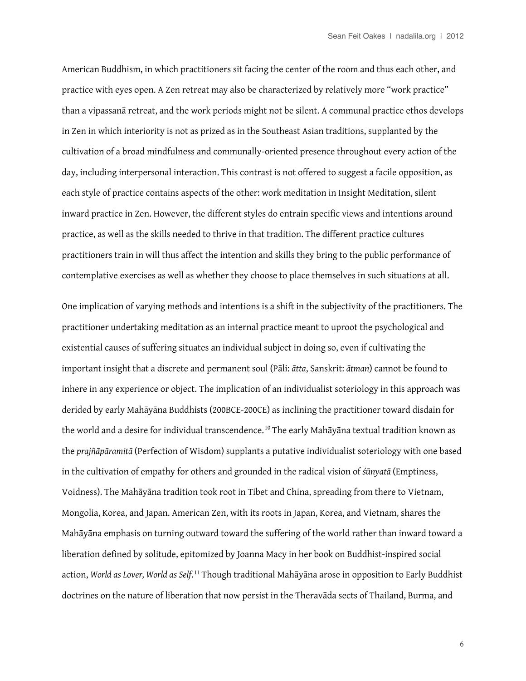American Buddhism, in which practitioners sit facing the center of the room and thus each other, and practice with eyes open. A Zen retreat may also be characterized by relatively more "work practice" than a vipassanā retreat, and the work periods might not be silent. A communal practice ethos develops in Zen in which interiority is not as prized as in the Southeast Asian traditions, supplanted by the cultivation of a broad mindfulness and communally-oriented presence throughout every action of the day, including interpersonal interaction. This contrast is not offered to suggest a facile opposition, as each style of practice contains aspects of the other: work meditation in Insight Meditation, silent inward practice in Zen. However, the diferent styles do entrain specifc views and intentions around practice, as well as the skills needed to thrive in that tradition. The diferent practice cultures practitioners train in will thus affect the intention and skills they bring to the public performance of contemplative exercises as well as whether they choose to place themselves in such situations at all.

One implication of varying methods and intentions is a shift in the subjectivity of the practitioners. The practitioner undertaking meditation as an internal practice meant to uproot the psychological and existential causes of sufering situates an individual subject in doing so, even if cultivating the important insight that a discrete and permanent soul (Pāli: *ātta*, Sanskrit: *ātman*) cannot be found to inhere in any experience or object. The implication of an individualist soteriology in this approach was derided by early Mahāyāna Buddhists (200BCE-200CE) as inclining the practitioner toward disdain for the world and a desire for individual transcendence.<sup>[10](#page-16-9)</sup> The early Mahāyāna textual tradition known as the *prajñāpāramitā* (Perfection of Wisdom) supplants a putative individualist soteriology with one based in the cultivation of empathy for others and grounded in the radical vision of *śūnyatā* (Emptiness, Voidness). The Mahāyāna tradition took root in Tibet and China, spreading from there to Vietnam, Mongolia, Korea, and Japan. American Zen, with its roots in Japan, Korea, and Vietnam, shares the Mahāyāna emphasis on turning outward toward the sufering of the world rather than inward toward a liberation defned by solitude, epitomized by Joanna Macy in her book on Buddhist-inspired social action, *World as Lover, World as Self*. [11](#page-16-10) Though traditional Mahāyāna arose in opposition to Early Buddhist doctrines on the nature of liberation that now persist in the Theravāda sects of Thailand, Burma, and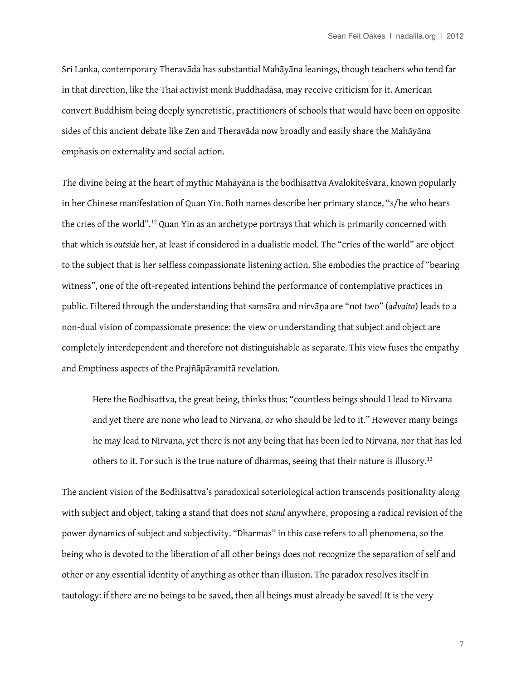Sri Lanka, contemporary Theravāda has substantial Mahāyāna leanings, though teachers who tend far in that direction, like the Thai activist monk Buddhadāsa, may receive criticism for it. American convert Buddhism being deeply syncretistic, practitioners of schools that would have been on opposite sides of this ancient debate like Zen and Theravāda now broadly and easily share the Mahāyāna emphasis on externality and social action.

The divine being at the heart of mythic Mahāyāna is the bodhisattva Avalokiteśvara, known popularly in her Chinese manifestation of Quan Yin. Both names describe her primary stance, "s/he who hears the cries of the world".[12](#page-16-11) Quan Yin as an archetype portrays that which is primarily concerned with that which is *outside* her, at least if considered in a dualistic model. The "cries of the world" are object to the subject that is her selfess compassionate listening action. She embodies the practice of "bearing witness", one of the oft-repeated intentions behind the performance of contemplative practices in public. Filtered through the understanding that saṃsāra and nirvāṇa are "not two" (*advaita*) leads to a non-dual vision of compassionate presence: the view or understanding that subject and object are completely interdependent and therefore not distinguishable as separate. This view fuses the empathy and Emptiness aspects of the Prajñāpāramitā revelation.

Here the Bodhisattva, the great being, thinks thus: "countless beings should I lead to Nirvana and yet there are none who lead to Nirvana, or who should be led to it." However many beings he may lead to Nirvana, yet there is not any being that has been led to Nirvana, nor that has led others to it. For such is the true nature of dharmas, seeing that their nature is illusory.<sup>[13](#page-16-12)</sup>

The ancient vision of the Bodhisattva's paradoxical soteriological action transcends positionality along with subject and object, taking a stand that does not *stand* anywhere, proposing a radical revision of the power dynamics of subject and subjectivity. "Dharmas" in this case refers to all phenomena, so the being who is devoted to the liberation of all other beings does not recognize the separation of self and other or any essential identity of anything as other than illusion. The paradox resolves itself in tautology: if there are no beings to be saved, then all beings must already be saved! It is the very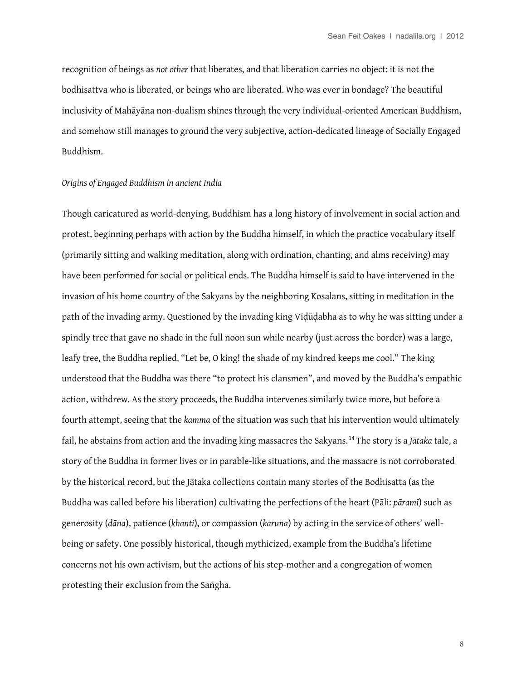recognition of beings as *not other* that liberates, and that liberation carries no object: it is not the bodhisattva who is liberated, or beings who are liberated. Who was ever in bondage? The beautiful inclusivity of Mahāyāna non-dualism shines through the very individual-oriented American Buddhism, and somehow still manages to ground the very subjective, action-dedicated lineage of Socially Engaged Buddhism.

## *Origins of Engaged Buddhism in ancient India*

Though caricatured as world-denying, Buddhism has a long history of involvement in social action and protest, beginning perhaps with action by the Buddha himself, in which the practice vocabulary itself (primarily sitting and walking meditation, along with ordination, chanting, and alms receiving) may have been performed for social or political ends. The Buddha himself is said to have intervened in the invasion of his home country of the Sakyans by the neighboring Kosalans, sitting in meditation in the path of the invading army. Questioned by the invading king Viḍūḍabha as to why he was sitting under a spindly tree that gave no shade in the full noon sun while nearby (just across the border) was a large, leafy tree, the Buddha replied, "Let be, O king! the shade of my kindred keeps me cool." The king understood that the Buddha was there "to protect his clansmen", and moved by the Buddha's empathic action, withdrew. As the story proceeds, the Buddha intervenes similarly twice more, but before a fourth attempt, seeing that the *kamma* of the situation was such that his intervention would ultimately fail, he abstains from action and the invading king massacres the Sakyans.[14](#page-16-13) The story is a *Jātaka* tale, a story of the Buddha in former lives or in parable-like situations, and the massacre is not corroborated by the historical record, but the Jātaka collections contain many stories of the Bodhisatta (as the Buddha was called before his liberation) cultivating the perfections of the heart (Pāli: *pāramī*) such as generosity (*dāna*), patience (*khanti*), or compassion (*karuna*) by acting in the service of others' wellbeing or safety. One possibly historical, though mythicized, example from the Buddha's lifetime concerns not his own activism, but the actions of his step-mother and a congregation of women protesting their exclusion from the Saṅgha.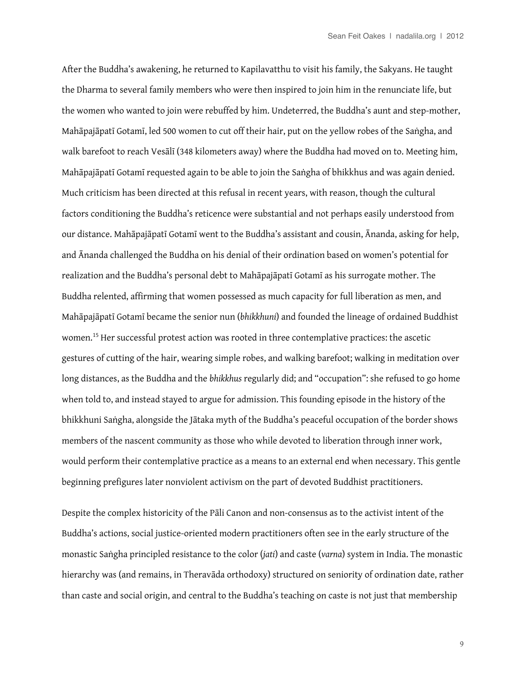After the Buddha's awakening, he returned to Kapilavatthu to visit his family, the Sakyans. He taught the Dharma to several family members who were then inspired to join him in the renunciate life, but the women who wanted to join were rebufed by him. Undeterred, the Buddha's aunt and step-mother, Mahāpajāpatī Gotamī, led 500 women to cut off their hair, put on the yellow robes of the Saṅgha, and walk barefoot to reach Vesālī (348 kilometers away) where the Buddha had moved on to. Meeting him, Mahāpajāpatī Gotamī requested again to be able to join the Saṅgha of bhikkhus and was again denied. Much criticism has been directed at this refusal in recent years, with reason, though the cultural factors conditioning the Buddha's reticence were substantial and not perhaps easily understood from our distance. Mahāpajāpatī Gotamī went to the Buddha's assistant and cousin, Ānanda, asking for help, and Ānanda challenged the Buddha on his denial of their ordination based on women's potential for realization and the Buddha's personal debt to Mahāpajāpatī Gotamī as his surrogate mother. The Buddha relented, affirming that women possessed as much capacity for full liberation as men, and Mahāpajāpatī Gotamī became the senior nun (*bhikkhuni*) and founded the lineage of ordained Buddhist women.<sup>15</sup> Her successful protest action was rooted in three contemplative practices: the ascetic gestures of cutting of the hair, wearing simple robes, and walking barefoot; walking in meditation over long distances, as the Buddha and the *bhikkhus* regularly did; and "occupation": she refused to go home when told to, and instead stayed to argue for admission. This founding episode in the history of the bhikkhuni Saṅgha, alongside the Jātaka myth of the Buddha's peaceful occupation of the border shows members of the nascent community as those who while devoted to liberation through inner work, would perform their contemplative practice as a means to an external end when necessary. This gentle beginning prefgures later nonviolent activism on the part of devoted Buddhist practitioners.

Despite the complex historicity of the Pāli Canon and non-consensus as to the activist intent of the Buddha's actions, social justice-oriented modern practitioners often see in the early structure of the monastic Saṅgha principled resistance to the color (*jati*) and caste (*varna*) system in India. The monastic hierarchy was (and remains, in Theravāda orthodoxy) structured on seniority of ordination date, rather than caste and social origin, and central to the Buddha's teaching on caste is not just that membership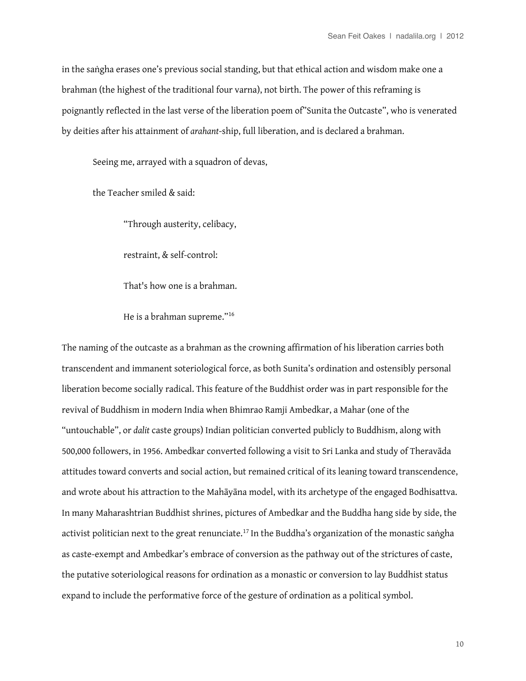in the saṅgha erases one's previous social standing, but that ethical action and wisdom make one a brahman (the highest of the traditional four varna), not birth. The power of this reframing is poignantly refected in the last verse of the liberation poem of"Sunita the Outcaste", who is venerated by deities after his attainment of *arahant*-ship, full liberation, and is declared a brahman.

Seeing me, arrayed with a squadron of devas,

the Teacher smiled & said:

"Through austerity, celibacy,

restraint, & self-control:

That's how one is a brahman.

He is a brahman supreme."[16](#page-17-1)

The naming of the outcaste as a brahman as the crowning affirmation of his liberation carries both transcendent and immanent soteriological force, as both Sunita's ordination and ostensibly personal liberation become socially radical. This feature of the Buddhist order was in part responsible for the revival of Buddhism in modern India when Bhimrao Ramji Ambedkar, a Mahar (one of the "untouchable", or *dalit* caste groups) Indian politician converted publicly to Buddhism, along with 500,000 followers, in 1956. Ambedkar converted following a visit to Sri Lanka and study of Theravāda attitudes toward converts and social action, but remained critical of its leaning toward transcendence, and wrote about his attraction to the Mahāyāna model, with its archetype of the engaged Bodhisattva. In many Maharashtrian Buddhist shrines, pictures of Ambedkar and the Buddha hang side by side, the activist politician next to the great renunciate.<sup>[17](#page-17-2)</sup> In the Buddha's organization of the monastic saṅgha as caste-exempt and Ambedkar's embrace of conversion as the pathway out of the strictures of caste, the putative soteriological reasons for ordination as a monastic or conversion to lay Buddhist status expand to include the performative force of the gesture of ordination as a political symbol.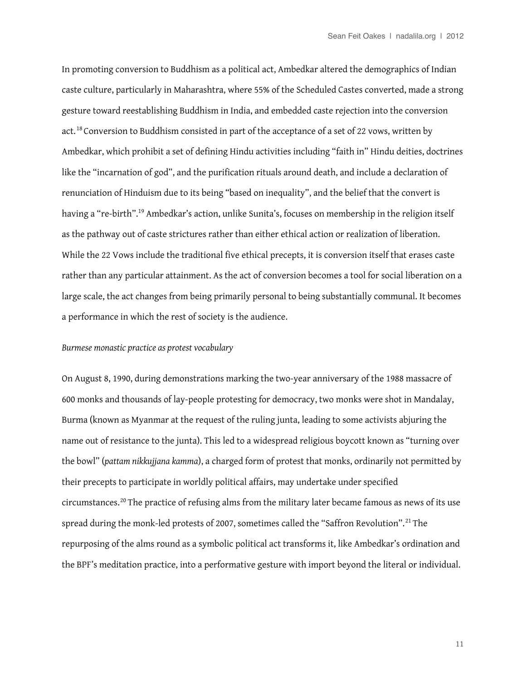In promoting conversion to Buddhism as a political act, Ambedkar altered the demographics of Indian caste culture, particularly in Maharashtra, where 55% of the Scheduled Castes converted, made a strong gesture toward reestablishing Buddhism in India, and embedded caste rejection into the conversion act.[18](#page-17-3) Conversion to Buddhism consisted in part of the acceptance of a set of 22 vows, written by Ambedkar, which prohibit a set of defining Hindu activities including "faith in" Hindu deities, doctrines like the "incarnation of god", and the purification rituals around death, and include a declaration of renunciation of Hinduism due to its being "based on inequality", and the belief that the convert is having a "re-birth".<sup>19</sup> Ambedkar's action, unlike Sunita's, focuses on membership in the religion itself as the pathway out of caste strictures rather than either ethical action or realization of liberation. While the 22 Vows include the traditional five ethical precepts, it is conversion itself that erases caste rather than any particular attainment. As the act of conversion becomes a tool for social liberation on a large scale, the act changes from being primarily personal to being substantially communal. It becomes a performance in which the rest of society is the audience.

## *Burmese monastic practice as protest vocabulary*

On August 8, 1990, during demonstrations marking the two-year anniversary of the 1988 massacre of 600 monks and thousands of lay-people protesting for democracy, two monks were shot in Mandalay, Burma (known as Myanmar at the request of the ruling junta, leading to some activists abjuring the name out of resistance to the junta). This led to a widespread religious boycott known as "turning over the bowl" (*pattam nikkujjana kamma*), a charged form of protest that monks, ordinarily not permitted by their precepts to participate in worldly political affairs, may undertake under specified circumstances.[20](#page-17-5) The practice of refusing alms from the military later became famous as news of its use spread during the monk-led protests of 2007, sometimes called the "Saffron Revolution".<sup>[21](#page-17-6)</sup> The repurposing of the alms round as a symbolic political act transforms it, like Ambedkar's ordination and the BPF's meditation practice, into a performative gesture with import beyond the literal or individual.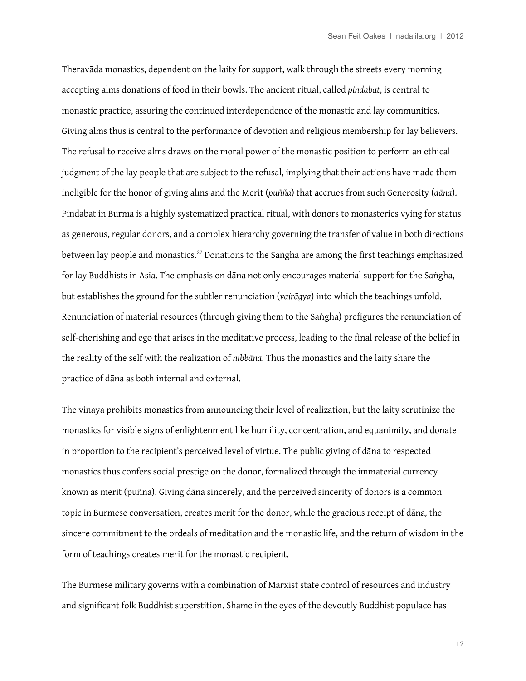Theravāda monastics, dependent on the laity for support, walk through the streets every morning accepting alms donations of food in their bowls. The ancient ritual, called *pindabat*, is central to monastic practice, assuring the continued interdependence of the monastic and lay communities. Giving alms thus is central to the performance of devotion and religious membership for lay believers. The refusal to receive alms draws on the moral power of the monastic position to perform an ethical judgment of the lay people that are subject to the refusal, implying that their actions have made them ineligible for the honor of giving alms and the Merit (*puñña*) that accrues from such Generosity (*dāna*). Pindabat in Burma is a highly systematized practical ritual, with donors to monasteries vying for status as generous, regular donors, and a complex hierarchy governing the transfer of value in both directions between lay people and monastics.<sup>22</sup> Donations to the Saṅgha are among the first teachings emphasized for lay Buddhists in Asia. The emphasis on dāna not only encourages material support for the Saṅgha, but establishes the ground for the subtler renunciation (*vairāgya*) into which the teachings unfold. Renunciation of material resources (through giving them to the Saṅgha) prefigures the renunciation of self-cherishing and ego that arises in the meditative process, leading to the fnal release of the belief in the reality of the self with the realization of *nibbāna*. Thus the monastics and the laity share the practice of dāna as both internal and external.

The vinaya prohibits monastics from announcing their level of realization, but the laity scrutinize the monastics for visible signs of enlightenment like humility, concentration, and equanimity, and donate in proportion to the recipient's perceived level of virtue. The public giving of dāna to respected monastics thus confers social prestige on the donor, formalized through the immaterial currency known as merit (puñna). Giving dāna sincerely, and the perceived sincerity of donors is a common topic in Burmese conversation, creates merit for the donor, while the gracious receipt of dāna*,* the sincere commitment to the ordeals of meditation and the monastic life, and the return of wisdom in the form of teachings creates merit for the monastic recipient.

The Burmese military governs with a combination of Marxist state control of resources and industry and signifcant folk Buddhist superstition. Shame in the eyes of the devoutly Buddhist populace has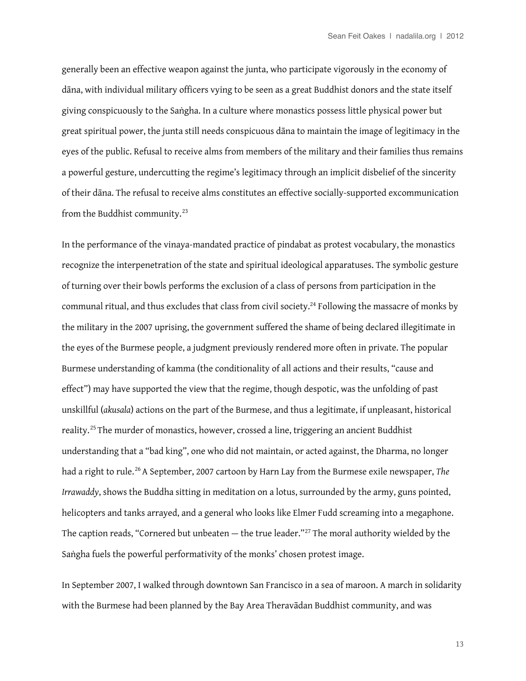generally been an efective weapon against the junta, who participate vigorously in the economy of dāna, with individual military officers vying to be seen as a great Buddhist donors and the state itself giving conspicuously to the Saṅgha. In a culture where monastics possess little physical power but great spiritual power, the junta still needs conspicuous dāna to maintain the image of legitimacy in the eyes of the public. Refusal to receive alms from members of the military and their families thus remains a powerful gesture, undercutting the regime's legitimacy through an implicit disbelief of the sincerity of their dāna. The refusal to receive alms constitutes an efective socially-supported excommunication from the Buddhist community.[23](#page-17-8)

In the performance of the vinaya-mandated practice of pindabat as protest vocabulary, the monastics recognize the interpenetration of the state and spiritual ideological apparatuses. The symbolic gesture of turning over their bowls performs the exclusion of a class of persons from participation in the communal ritual, and thus excludes that class from civil society.<sup>24</sup> Following the massacre of monks by the military in the 2007 uprising, the government suffered the shame of being declared illegitimate in the eyes of the Burmese people, a judgment previously rendered more often in private. The popular Burmese understanding of kamma (the conditionality of all actions and their results, "cause and efect") may have supported the view that the regime, though despotic, was the unfolding of past unskillful (*akusala*) actions on the part of the Burmese, and thus a legitimate, if unpleasant, historical reality.<sup>[25](#page-17-10)</sup> The murder of monastics, however, crossed a line, triggering an ancient Buddhist understanding that a "bad king", one who did not maintain, or acted against, the Dharma, no longer had a right to rule.<sup>[26](#page-17-11)</sup> A September, 2007 cartoon by Harn Lay from the Burmese exile newspaper, *The Irrawaddy*, shows the Buddha sitting in meditation on a lotus, surrounded by the army, guns pointed, helicopters and tanks arrayed, and a general who looks like Elmer Fudd screaming into a megaphone. The caption reads, "Cornered but unbeaten  $-$  the true leader."<sup>27</sup> The moral authority wielded by the Saṅgha fuels the powerful performativity of the monks' chosen protest image.

In September 2007, I walked through downtown San Francisco in a sea of maroon. A march in solidarity with the Burmese had been planned by the Bay Area Theravādan Buddhist community, and was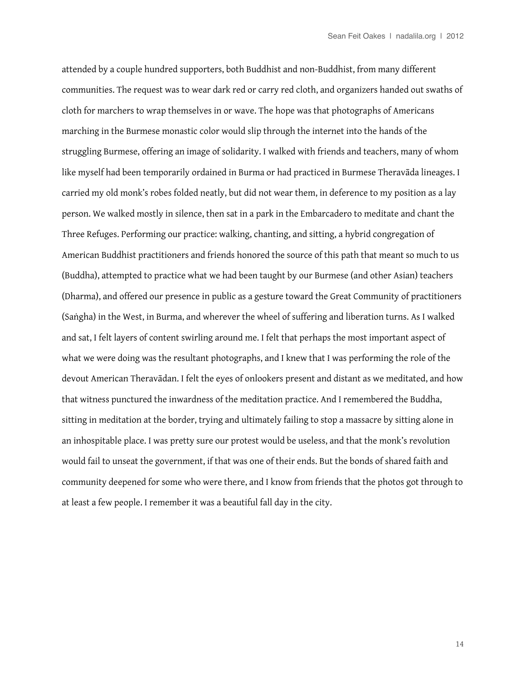attended by a couple hundred supporters, both Buddhist and non-Buddhist, from many diferent communities. The request was to wear dark red or carry red cloth, and organizers handed out swaths of cloth for marchers to wrap themselves in or wave. The hope was that photographs of Americans marching in the Burmese monastic color would slip through the internet into the hands of the struggling Burmese, offering an image of solidarity. I walked with friends and teachers, many of whom like myself had been temporarily ordained in Burma or had practiced in Burmese Theravāda lineages. I carried my old monk's robes folded neatly, but did not wear them, in deference to my position as a lay person. We walked mostly in silence, then sat in a park in the Embarcadero to meditate and chant the Three Refuges. Performing our practice: walking, chanting, and sitting, a hybrid congregation of American Buddhist practitioners and friends honored the source of this path that meant so much to us (Buddha), attempted to practice what we had been taught by our Burmese (and other Asian) teachers (Dharma), and ofered our presence in public as a gesture toward the Great Community of practitioners (Saṅgha) in the West, in Burma, and wherever the wheel of sufering and liberation turns. As I walked and sat, I felt layers of content swirling around me. I felt that perhaps the most important aspect of what we were doing was the resultant photographs, and I knew that I was performing the role of the devout American Theravādan. I felt the eyes of onlookers present and distant as we meditated, and how that witness punctured the inwardness of the meditation practice. And I remembered the Buddha, sitting in meditation at the border, trying and ultimately failing to stop a massacre by sitting alone in an inhospitable place. I was pretty sure our protest would be useless, and that the monk's revolution would fail to unseat the government, if that was one of their ends. But the bonds of shared faith and community deepened for some who were there, and I know from friends that the photos got through to at least a few people. I remember it was a beautiful fall day in the city.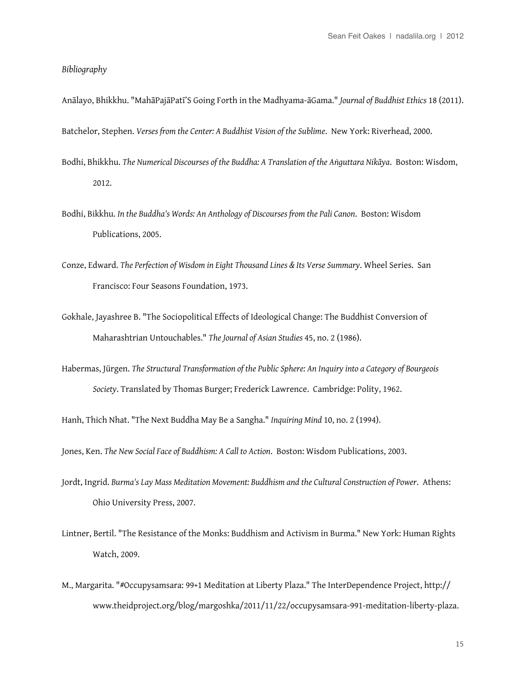## *Bibliography*

Anālayo, Bhikkhu. "MahāPajāPatī'S Going Forth in the Madhyama-āGama." *Journal of Buddhist Ethics* 18 (2011).

Batchelor, Stephen. *Verses from the Center: A Buddhist Vision of the Sublime*. New York: Riverhead, 2000.

- Bodhi, Bhikkhu. *The Numerical Discourses of the Buddha: A Translation of the Aṅguttara Nikāya*. Boston: Wisdom, 2012.
- Bodhi, Bikkhu. *In the Buddha's Words: An Anthology of Discourses from the Pali Canon*. Boston: Wisdom Publications, 2005.
- Conze, Edward. *The Perfection of Wisdom in Eight Thousand Lines & Its Verse Summary*. Wheel Series. San Francisco: Four Seasons Foundation, 1973.
- Gokhale, Jayashree B. "The Sociopolitical Efects of Ideological Change: The Buddhist Conversion of Maharashtrian Untouchables." *The Journal of Asian Studies* 45, no. 2 (1986).
- Habermas, Jürgen. *The Structural Transformation of the Public Sphere: An Inquiry into a Category of Bourgeois Society*. Translated by Thomas Burger; Frederick Lawrence. Cambridge: Polity, 1962.

Hanh, Thich Nhat. "The Next Buddha May Be a Sangha." *Inquiring Mind* 10, no. 2 (1994).

Jones, Ken. *The New Social Face of Buddhism: A Call to Action*. Boston: Wisdom Publications, 2003.

- Jordt, Ingrid. *Burma's Lay Mass Meditation Movement: Buddhism and the Cultural Construction of Power*. Athens: Ohio University Press, 2007.
- Lintner, Bertil. "The Resistance of the Monks: Buddhism and Activism in Burma." New York: Human Rights Watch, 2009.
- M., Margarita. "#Occupysamsara: 99+1 Meditation at Liberty Plaza." The InterDependence Project, http:// www.theidproject.org/blog/margoshka/2011/11/22/occupysamsara-991-meditation-liberty-plaza.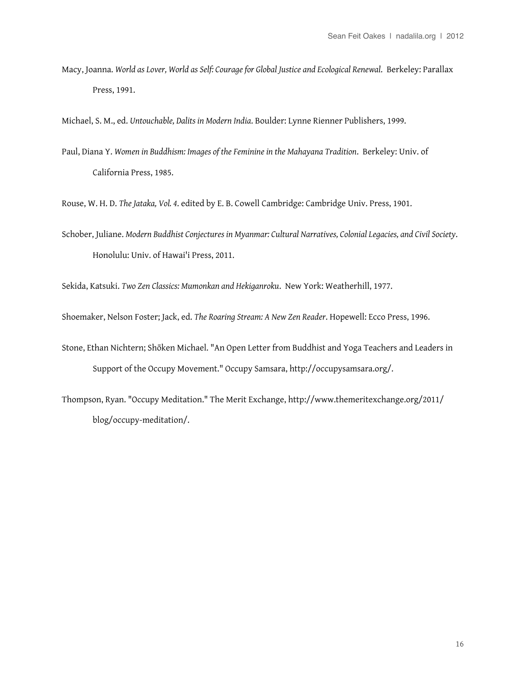Macy, Joanna. *World as Lover, World as Self: Courage for Global Justice and Ecological Renewal*. Berkeley: Parallax Press, 1991.

Michael, S. M., ed. *Untouchable, Dalits in Modern India*. Boulder: Lynne Rienner Publishers, 1999.

Paul, Diana Y. *Women in Buddhism: Images of the Feminine in the Mahayana Tradition*. Berkeley: Univ. of California Press, 1985.

Rouse, W. H. D. *The Jataka, Vol. 4*. edited by E. B. Cowell Cambridge: Cambridge Univ. Press, 1901.

Schober, Juliane. *Modern Buddhist Conjectures in Myanmar: Cultural Narratives, Colonial Legacies, and Civil Society*. Honolulu: Univ. of Hawai'i Press, 2011.

Sekida, Katsuki. *Two Zen Classics: Mumonkan and Hekiganroku*. New York: Weatherhill, 1977.

Shoemaker, Nelson Foster; Jack, ed. *The Roaring Stream: A New Zen Reader*. Hopewell: Ecco Press, 1996.

- Stone, Ethan Nichtern; Shōken Michael. "An Open Letter from Buddhist and Yoga Teachers and Leaders in Support of the Occupy Movement." Occupy Samsara, http://occupysamsara.org/.
- Thompson, Ryan. "Occupy Meditation." The Merit Exchange, http://www.themeritexchange.org/2011/ blog/occupy-meditation/.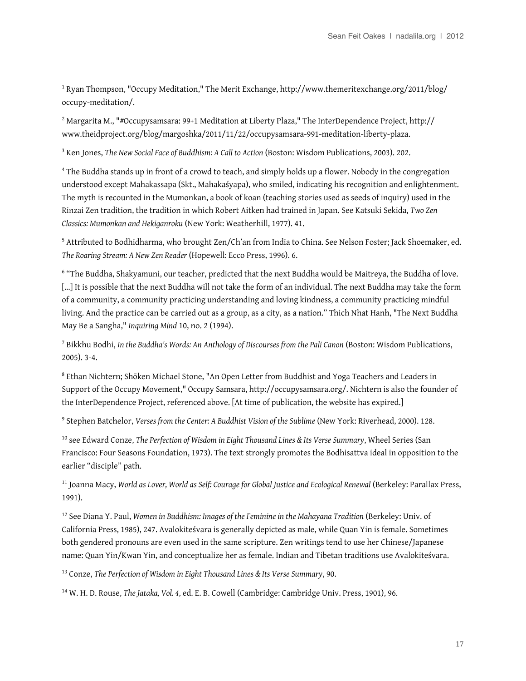<span id="page-16-0"></span>1 Ryan Thompson, "Occupy Meditation," The Merit Exchange, http://www.themeritexchange.org/2011/blog/ occupy-meditation/.

<span id="page-16-1"></span> $^2$  Margarita M., "#Occupysamsara: 99+1 Meditation at Liberty Plaza," The InterDependence Project, <code>http://</code> www.theidproject.org/blog/margoshka/2011/11/22/occupysamsara-991-meditation-liberty-plaza.

<span id="page-16-2"></span>3 Ken Jones, *The New Social Face of Buddhism: A Call to Action* (Boston: Wisdom Publications, 2003). 202.

<span id="page-16-3"></span><sup>4</sup> The Buddha stands up in front of a crowd to teach, and simply holds up a flower. Nobody in the congregation understood except Mahakassapa (Skt., Mahakaśyapa), who smiled, indicating his recognition and enlightenment. The myth is recounted in the Mumonkan, a book of koan (teaching stories used as seeds of inquiry) used in the Rinzai Zen tradition, the tradition in which Robert Aitken had trained in Japan. See Katsuki Sekida, *Two Zen Classics: Mumonkan and Hekiganroku* (New York: Weatherhill, 1977). 41.

<span id="page-16-4"></span><sup>5</sup> Attributed to Bodhidharma, who brought Zen/Ch'an from India to China. See Nelson Foster; Jack Shoemaker, ed. *The Roaring Stream: A New Zen Reader* (Hopewell: Ecco Press, 1996). 6.

<span id="page-16-5"></span><sup>6</sup> "The Buddha, Shakyamuni, our teacher, predicted that the next Buddha would be Maitreya, the Buddha of love. […] It is possible that the next Buddha will not take the form of an individual. The next Buddha may take the form of a community, a community practicing understanding and loving kindness, a community practicing mindful living. And the practice can be carried out as a group, as a city, as a nation." Thich Nhat Hanh, "The Next Buddha May Be a Sangha," *Inquiring Mind* 10, no. 2 (1994).

<span id="page-16-6"></span>7 Bikkhu Bodhi, *In the Buddha's Words: An Anthology of Discourses from the Pali Canon* (Boston: Wisdom Publications, 2005). 3-4.

<span id="page-16-7"></span>8 Ethan Nichtern; Shōken Michael Stone, "An Open Letter from Buddhist and Yoga Teachers and Leaders in Support of the Occupy Movement," Occupy Samsara, http://occupysamsara.org/. Nichtern is also the founder of the InterDependence Project, referenced above. [At time of publication, the website has expired.]

<span id="page-16-8"></span>9 Stephen Batchelor, *Verses from the Center: A Buddhist Vision of the Sublime* (New York: Riverhead, 2000). 128.

<span id="page-16-9"></span>10 see Edward Conze, *The Perfection of Wisdom in Eight Thousand Lines & Its Verse Summary*, Wheel Series (San Francisco: Four Seasons Foundation, 1973). The text strongly promotes the Bodhisattva ideal in opposition to the earlier "disciple" path.

<span id="page-16-10"></span>11 Joanna Macy, *World as Lover, World as Self: Courage for Global Justice and Ecological Renewal* (Berkeley: Parallax Press, 1991).

<span id="page-16-11"></span>12 See Diana Y. Paul, *Women in Buddhism: Images of the Feminine in the Mahayana Tradition* (Berkeley: Univ. of California Press, 1985), 247. Avalokiteśvara is generally depicted as male, while Quan Yin is female. Sometimes both gendered pronouns are even used in the same scripture. Zen writings tend to use her Chinese/Japanese name: Quan Yin/Kwan Yin, and conceptualize her as female. Indian and Tibetan traditions use Avalokiteśvara.

<span id="page-16-12"></span>13 Conze, *The Perfection of Wisdom in Eight Thousand Lines & Its Verse Summary*, 90.

<span id="page-16-13"></span>14 W. H. D. Rouse, *The Jataka, Vol. 4*, ed. E. B. Cowell (Cambridge: Cambridge Univ. Press, 1901), 96.